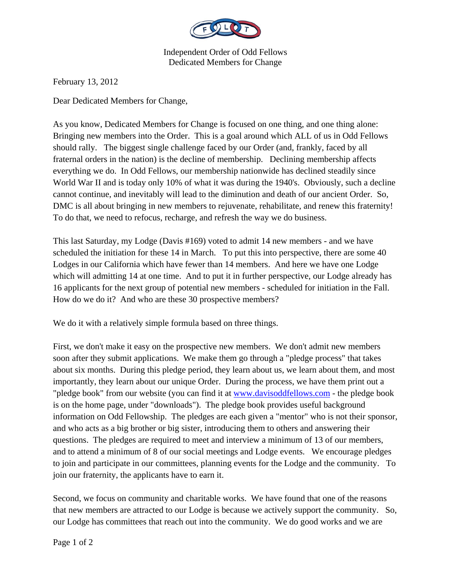

Independent Order of Odd Fellows Dedicated Members for Change

February 13, 2012

Dear Dedicated Members for Change,

As you know, Dedicated Members for Change is focused on one thing, and one thing alone: Bringing new members into the Order. This is a goal around which ALL of us in Odd Fellows should rally. The biggest single challenge faced by our Order (and, frankly, faced by all fraternal orders in the nation) is the decline of membership. Declining membership affects everything we do. In Odd Fellows, our membership nationwide has declined steadily since World War II and is today only 10% of what it was during the 1940's. Obviously, such a decline cannot continue, and inevitably will lead to the diminution and death of our ancient Order. So, DMC is all about bringing in new members to rejuvenate, rehabilitate, and renew this fraternity! To do that, we need to refocus, recharge, and refresh the way we do business.

This last Saturday, my Lodge (Davis #169) voted to admit 14 new members - and we have scheduled the initiation for these 14 in March. To put this into perspective, there are some 40 Lodges in our California which have fewer than 14 members. And here we have one Lodge which will admitting 14 at one time. And to put it in further perspective, our Lodge already has 16 applicants for the next group of potential new members - scheduled for initiation in the Fall. How do we do it? And who are these 30 prospective members?

We do it with a relatively simple formula based on three things.

First, we don't make it easy on the prospective new members. We don't admit new members soon after they submit applications. We make them go through a "pledge process" that takes about six months. During this pledge period, they learn about us, we learn about them, and most importantly, they learn about our unique Order. During the process, we have them print out a "pledge book" from our website (you can find it at www.davisoddfellows.com - the pledge book is on the home page, under "downloads"). The pledge book provides useful background information on Odd Fellowship. The pledges are each given a "mentor" who is not their sponsor, and who acts as a big brother or big sister, introducing them to others and answering their questions. The pledges are required to meet and interview a minimum of 13 of our members, and to attend a minimum of 8 of our social meetings and Lodge events. We encourage pledges to join and participate in our committees, planning events for the Lodge and the community. To join our fraternity, the applicants have to earn it.

Second, we focus on community and charitable works. We have found that one of the reasons that new members are attracted to our Lodge is because we actively support the community. So, our Lodge has committees that reach out into the community. We do good works and we are